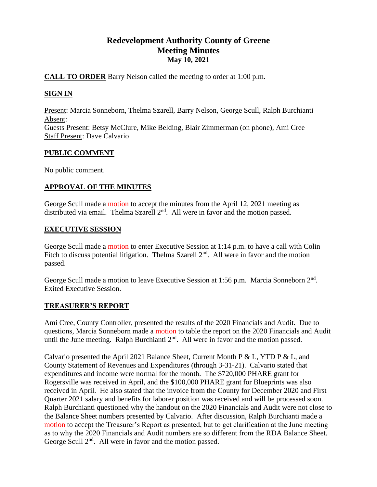# **Redevelopment Authority County of Greene Meeting Minutes May 10, 2021**

# **CALL TO ORDER** Barry Nelson called the meeting to order at 1:00 p.m.

# **SIGN IN**

Present: Marcia Sonneborn, Thelma Szarell, Barry Nelson, George Scull, Ralph Burchianti Absent: Guests Present: Betsy McClure, Mike Belding, Blair Zimmerman (on phone), Ami Cree Staff Present: Dave Calvario

# **PUBLIC COMMENT**

No public comment.

# **APPROVAL OF THE MINUTES**

George Scull made a motion to accept the minutes from the April 12, 2021 meeting as distributed via email. Thelma Szarell  $2<sup>nd</sup>$ . All were in favor and the motion passed.

# **EXECUTIVE SESSION**

George Scull made a motion to enter Executive Session at 1:14 p.m. to have a call with Colin Fitch to discuss potential litigation. Thelma Szarell  $2<sup>nd</sup>$ . All were in favor and the motion passed.

George Scull made a motion to leave Executive Session at 1:56 p.m. Marcia Sonneborn 2<sup>nd</sup>. Exited Executive Session.

# **TREASURER'S REPORT**

Ami Cree, County Controller, presented the results of the 2020 Financials and Audit. Due to questions, Marcia Sonneborn made a motion to table the report on the 2020 Financials and Audit until the June meeting. Ralph Burchianti  $2<sup>nd</sup>$ . All were in favor and the motion passed.

Calvario presented the April 2021 Balance Sheet, Current Month P & L, YTD P & L, and County Statement of Revenues and Expenditures (through 3-31-21). Calvario stated that expenditures and income were normal for the month. The \$720,000 PHARE grant for Rogersville was received in April, and the \$100,000 PHARE grant for Blueprints was also received in April. He also stated that the invoice from the County for December 2020 and First Quarter 2021 salary and benefits for laborer position was received and will be processed soon. Ralph Burchianti questioned why the handout on the 2020 Financials and Audit were not close to the Balance Sheet numbers presented by Calvario. After discussion, Ralph Burchianti made a motion to accept the Treasurer's Report as presented, but to get clarification at the June meeting as to why the 2020 Financials and Audit numbers are so different from the RDA Balance Sheet. George Scull 2<sup>nd</sup>. All were in favor and the motion passed.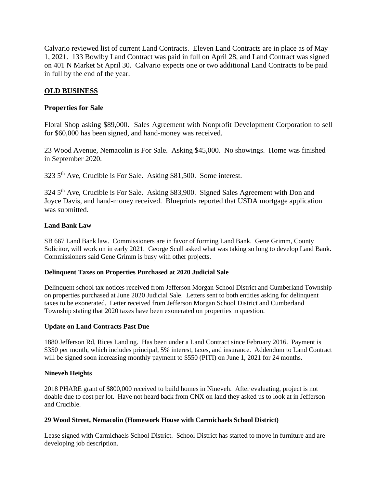Calvario reviewed list of current Land Contracts. Eleven Land Contracts are in place as of May 1, 2021. 133 Bowlby Land Contract was paid in full on April 28, and Land Contract was signed on 401 N Market St April 30. Calvario expects one or two additional Land Contracts to be paid in full by the end of the year.

# **OLD BUSINESS**

# **Properties for Sale**

Floral Shop asking \$89,000. Sales Agreement with Nonprofit Development Corporation to sell for \$60,000 has been signed, and hand-money was received.

23 Wood Avenue, Nemacolin is For Sale. Asking \$45,000. No showings. Home was finished in September 2020.

323 5th Ave, Crucible is For Sale. Asking \$81,500. Some interest.

324 5<sup>th</sup> Ave, Crucible is For Sale. Asking \$83,900. Signed Sales Agreement with Don and Joyce Davis, and hand-money received. Blueprints reported that USDA mortgage application was submitted.

### **Land Bank Law**

SB 667 Land Bank law. Commissioners are in favor of forming Land Bank. Gene Grimm, County Solicitor, will work on in early 2021. George Scull asked what was taking so long to develop Land Bank. Commissioners said Gene Grimm is busy with other projects.

#### **Delinquent Taxes on Properties Purchased at 2020 Judicial Sale**

Delinquent school tax notices received from Jefferson Morgan School District and Cumberland Township on properties purchased at June 2020 Judicial Sale. Letters sent to both entities asking for delinquent taxes to be exonerated. Letter received from Jefferson Morgan School District and Cumberland Township stating that 2020 taxes have been exonerated on properties in question.

#### **Update on Land Contracts Past Due**

1880 Jefferson Rd, Rices Landing. Has been under a Land Contract since February 2016. Payment is \$350 per month, which includes principal, 5% interest, taxes, and insurance. Addendum to Land Contract will be signed soon increasing monthly payment to \$550 (PITI) on June 1, 2021 for 24 months.

#### **Nineveh Heights**

2018 PHARE grant of \$800,000 received to build homes in Nineveh. After evaluating, project is not doable due to cost per lot. Have not heard back from CNX on land they asked us to look at in Jefferson and Crucible.

#### **29 Wood Street, Nemacolin (Homework House with Carmichaels School District)**

Lease signed with Carmichaels School District. School District has started to move in furniture and are developing job description.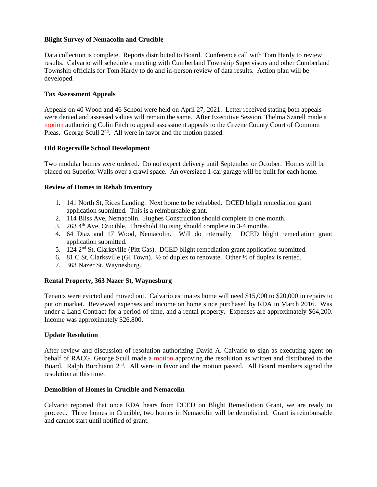#### **Blight Survey of Nemacolin and Crucible**

Data collection is complete. Reports distributed to Board. Conference call with Tom Hardy to review results. Calvario will schedule a meeting with Cumberland Township Supervisors and other Cumberland Township officials for Tom Hardy to do and in-person review of data results. Action plan will be developed.

#### **Tax Assessment Appeals**

Appeals on 40 Wood and 46 School were held on April 27, 2021. Letter received stating both appeals were denied and assessed values will remain the same. After Executive Session, Thelma Szarell made a motion authorizing Colin Fitch to appeal assessment appeals to the Greene County Court of Common Pleas. George Scull 2<sup>nd</sup>. All were in favor and the motion passed.

#### **Old Rogersville School Development**

Two modular homes were ordered. Do not expect delivery until September or October. Homes will be placed on Superior Walls over a crawl space. An oversized 1-car garage will be built for each home.

#### **Review of Homes in Rehab Inventory**

- 1. 141 North St, Rices Landing. Next home to be rehabbed. DCED blight remediation grant application submitted. This is a reimbursable grant.
- 2. 114 Bliss Ave, Nemacolin. Hughes Construction should complete in one month.
- 3. 263  $4<sup>th</sup>$  Ave, Crucible. Threshold Housing should complete in 3-4 months.
- 4. 64 Diaz and 17 Wood, Nemacolin. Will do internally. DCED blight remediation grant application submitted.
- 5. 124  $2<sup>nd</sup>$  St, Clarksville (Pitt Gas). DCED blight remediation grant application submitted.
- 6. 81 C St, Clarksville (GI Town). ½ of duplex to renovate. Other ½ of duplex is rented.
- 7. 363 Nazer St, Waynesburg.

#### **Rental Property, 363 Nazer St, Waynesburg**

Tenants were evicted and moved out. Calvario estimates home will need \$15,000 to \$20,000 in repairs to put on market. Reviewed expenses and income on home since purchased by RDA in March 2016. Was under a Land Contract for a period of time, and a rental property. Expenses are approximately \$64,200. Income was approximately \$26,800.

#### **Update Resolution**

After review and discussion of resolution authorizing David A. Calvario to sign as executing agent on behalf of RACG, George Scull made a motion approving the resolution as written and distributed to the Board. Ralph Burchianti 2<sup>nd</sup>. All were in favor and the motion passed. All Board members signed the resolution at this time.

#### **Demolition of Homes in Crucible and Nemacolin**

Calvario reported that once RDA hears from DCED on Blight Remediation Grant, we are ready to proceed. Three homes in Crucible, two homes in Nemacolin will be demolished. Grant is reimbursable and cannot start until notified of grant.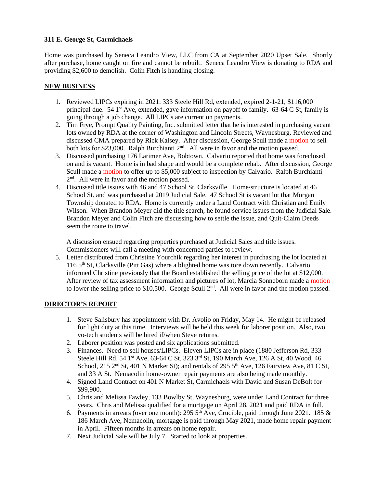### **311 E. George St, Carmichaels**

Home was purchased by Seneca Leandro View, LLC from CA at September 2020 Upset Sale. Shortly after purchase, home caught on fire and cannot be rebuilt. Seneca Leandro View is donating to RDA and providing \$2,600 to demolish. Colin Fitch is handling closing.

### **NEW BUSINESS**

- 1. Reviewed LIPCs expiring in 2021: 333 Steele Hill Rd, extended, expired 2-1-21, \$116,000 principal due. 54  $1<sup>st</sup>$  Ave, extended, gave information on payoff to family. 63-64 C St, family is going through a job change. All LIPCs are current on payments.
- 2. Tim Frye, Prompt Quality Painting, Inc. submitted letter that he is interested in purchasing vacant lots owned by RDA at the corner of Washington and Lincoln Streets, Waynesburg. Reviewed and discussed CMA prepared by Rick Kalsey. After discussion, George Scull made a motion to sell both lots for \$23,000. Ralph Burchianti 2<sup>nd</sup>. All were in favor and the motion passed.
- 3. Discussed purchasing 176 Larimer Ave, Bobtown. Calvario reported that home was foreclosed on and is vacant. Home is in bad shape and would be a complete rehab. After discussion, George Scull made a motion to offer up to \$5,000 subject to inspection by Calvario. Ralph Burchianti 2<sup>nd</sup>. All were in favor and the motion passed.
- 4. Discussed title issues with 46 and 47 School St, Clarksville. Home/structure is located at 46 School St. and was purchased at 2019 Judicial Sale. 47 School St is vacant lot that Morgan Township donated to RDA. Home is currently under a Land Contract with Christian and Emily Wilson. When Brandon Meyer did the title search, he found service issues from the Judicial Sale. Brandon Meyer and Colin Fitch are discussing how to settle the issue, and Quit-Claim Deeds seem the route to travel.

A discussion ensued regarding properties purchased at Judicial Sales and title issues. Commissioners will call a meeting with concerned parties to review.

5. Letter distributed from Christine Yourchik regarding her interest in purchasing the lot located at 116 5th St, Clarksville (Pitt Gas) where a blighted home was tore down recently. Calvario informed Christine previously that the Board established the selling price of the lot at \$12,000. After review of tax assessment information and pictures of lot, Marcia Sonneborn made a motion to lower the selling price to \$10,500. George Scull  $2<sup>nd</sup>$ . All were in favor and the motion passed.

# **DIRECTOR'S REPORT**

- 1. Steve Salisbury has appointment with Dr. Avolio on Friday, May 14. He might be released for light duty at this time. Interviews will be held this week for laborer position. Also, two vo-tech students will be hired if/when Steve returns.
- 2. Laborer position was posted and six applications submitted.
- 3. Finances. Need to sell houses/LIPCs. Eleven LIPCs are in place (1880 Jefferson Rd, 333 Steele Hill Rd, 54 1<sup>st</sup> Ave, 63-64 C St, 323 3<sup>rd</sup> St, 190 March Ave, 126 A St, 40 Wood, 46 School, 215  $2<sup>nd</sup>$  St, 401 N Market St); and rentals of 295  $5<sup>th</sup>$  Ave, 126 Fairview Ave, 81 C St, and 33 A St. Nemacolin home-owner repair payments are also being made monthly.
- 4. Signed Land Contract on 401 N Market St, Carmichaels with David and Susan DeBolt for \$99,900.
- 5. Chris and Melissa Fawley, 133 Bowlby St, Waynesburg, were under Land Contract for three years. Chris and Melissa qualified for a mortgage on April 28, 2021 and paid RDA in full.
- 6. Payments in arrears (over one month): 295  $5<sup>th</sup>$  Ave, Crucible, paid through June 2021. 185 & 186 March Ave, Nemacolin, mortgage is paid through May 2021, made home repair payment in April. Fifteen months in arrears on home repair.
- 7. Next Judicial Sale will be July 7. Started to look at properties.